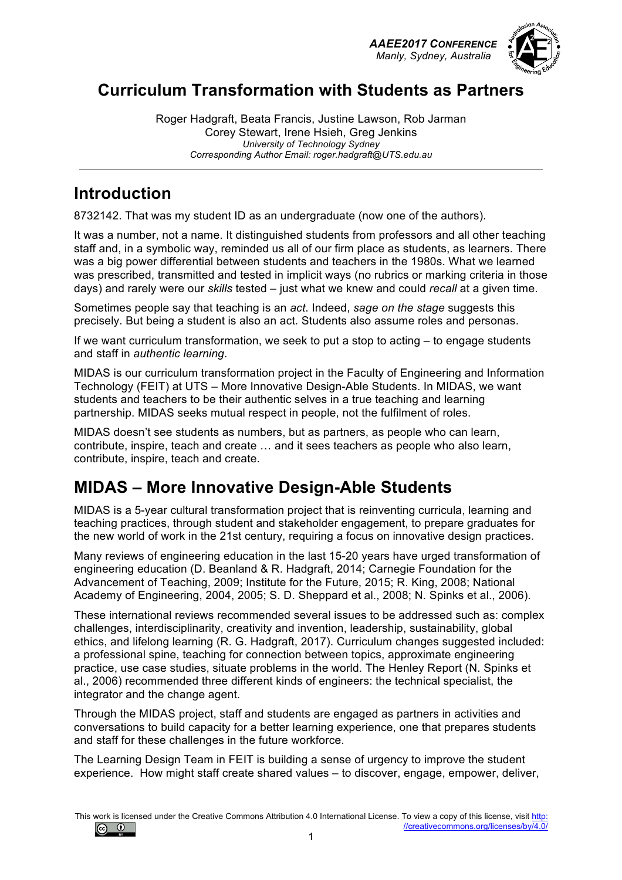*AAEE2017 CONFERENCE Manly, Sydney, Australia*



## **Curriculum Transformation with Students as Partners**

Roger Hadgraft, Beata Francis, Justine Lawson, Rob Jarman Corey Stewart, Irene Hsieh, Greg Jenkins *University of Technology Sydney Corresponding Author Email: roger.hadgraft@UTS.edu.au*

## **Introduction**

8732142. That was my student ID as an undergraduate (now one of the authors).

It was a number, not a name. It distinguished students from professors and all other teaching staff and, in a symbolic way, reminded us all of our firm place as students, as learners. There was a big power differential between students and teachers in the 1980s. What we learned was prescribed, transmitted and tested in implicit ways (no rubrics or marking criteria in those days) and rarely were our *skills* tested – just what we knew and could *recall* at a given time.

Sometimes people say that teaching is an *act*. Indeed, *sage on the stage* suggests this precisely. But being a student is also an act. Students also assume roles and personas.

If we want curriculum transformation, we seek to put a stop to acting – to engage students and staff in *authentic learning*.

MIDAS is our curriculum transformation project in the Faculty of Engineering and Information Technology (FEIT) at UTS – More Innovative Design-Able Students. In MIDAS, we want students and teachers to be their authentic selves in a true teaching and learning partnership. MIDAS seeks mutual respect in people, not the fulfilment of roles.

MIDAS doesn't see students as numbers, but as partners, as people who can learn, contribute, inspire, teach and create … and it sees teachers as people who also learn, contribute, inspire, teach and create.

# **MIDAS – More Innovative Design-Able Students**

MIDAS is a 5-year cultural transformation project that is reinventing curricula, learning and teaching practices, through student and stakeholder engagement, to prepare graduates for the new world of work in the 21st century, requiring a focus on innovative design practices.

Many reviews of engineering education in the last 15-20 years have urged transformation of engineering education (D. Beanland & R. Hadgraft, 2014; Carnegie Foundation for the Advancement of Teaching, 2009; Institute for the Future, 2015; R. King, 2008; National Academy of Engineering, 2004, 2005; S. D. Sheppard et al., 2008; N. Spinks et al., 2006).

These international reviews recommended several issues to be addressed such as: complex challenges, interdisciplinarity, creativity and invention, leadership, sustainability, global ethics, and lifelong learning (R. G. Hadgraft, 2017). Curriculum changes suggested included: a professional spine, teaching for connection between topics, approximate engineering practice, use case studies, situate problems in the world. The Henley Report (N. Spinks et al., 2006) recommended three different kinds of engineers: the technical specialist, the integrator and the change agent.

Through the MIDAS project, staff and students are engaged as partners in activities and conversations to build capacity for a better learning experience, one that prepares students and staff for these challenges in the future workforce.

The Learning Design Team in FEIT is building a sense of urgency to improve the student experience. How might staff create shared values – to discover, engage, empower, deliver,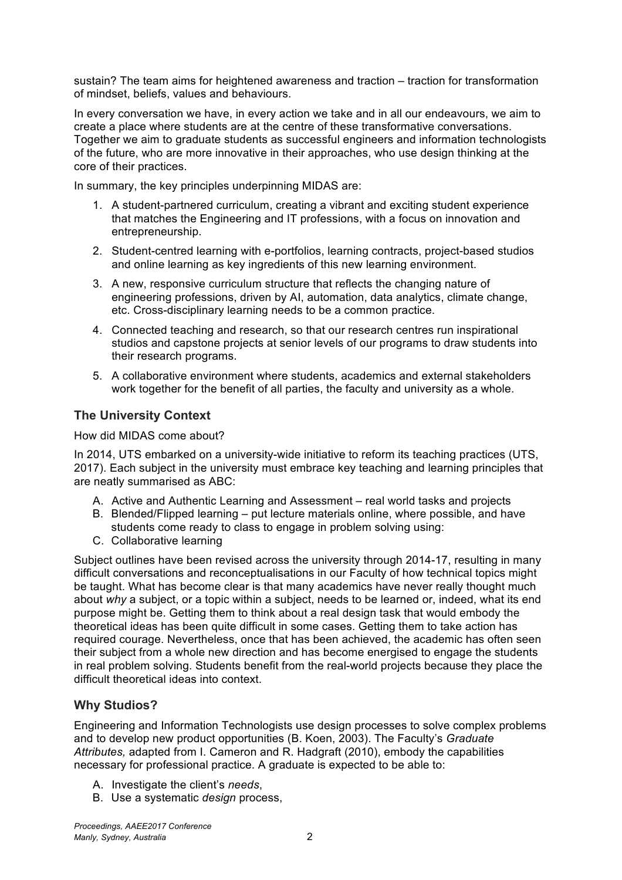sustain? The team aims for heightened awareness and traction – traction for transformation of mindset, beliefs, values and behaviours.

In every conversation we have, in every action we take and in all our endeavours, we aim to create a place where students are at the centre of these transformative conversations. Together we aim to graduate students as successful engineers and information technologists of the future, who are more innovative in their approaches, who use design thinking at the core of their practices.

In summary, the key principles underpinning MIDAS are:

- 1. A student-partnered curriculum, creating a vibrant and exciting student experience that matches the Engineering and IT professions, with a focus on innovation and entrepreneurship.
- 2. Student-centred learning with e-portfolios, learning contracts, project-based studios and online learning as key ingredients of this new learning environment.
- 3. A new, responsive curriculum structure that reflects the changing nature of engineering professions, driven by AI, automation, data analytics, climate change, etc. Cross-disciplinary learning needs to be a common practice.
- 4. Connected teaching and research, so that our research centres run inspirational studios and capstone projects at senior levels of our programs to draw students into their research programs.
- 5. A collaborative environment where students, academics and external stakeholders work together for the benefit of all parties, the faculty and university as a whole.

### **The University Context**

How did MIDAS come about?

In 2014, UTS embarked on a university-wide initiative to reform its teaching practices (UTS, 2017). Each subject in the university must embrace key teaching and learning principles that are neatly summarised as ABC:

- A. Active and Authentic Learning and Assessment real world tasks and projects
- B. Blended/Flipped learning put lecture materials online, where possible, and have students come ready to class to engage in problem solving using:
- C. Collaborative learning

Subject outlines have been revised across the university through 2014-17, resulting in many difficult conversations and reconceptualisations in our Faculty of how technical topics might be taught. What has become clear is that many academics have never really thought much about *why* a subject, or a topic within a subject, needs to be learned or, indeed, what its end purpose might be. Getting them to think about a real design task that would embody the theoretical ideas has been quite difficult in some cases. Getting them to take action has required courage. Nevertheless, once that has been achieved, the academic has often seen their subject from a whole new direction and has become energised to engage the students in real problem solving. Students benefit from the real-world projects because they place the difficult theoretical ideas into context.

### **Why Studios?**

Engineering and Information Technologists use design processes to solve complex problems and to develop new product opportunities (B. Koen, 2003). The Faculty's *Graduate Attributes,* adapted from I. Cameron and R. Hadgraft (2010), embody the capabilities necessary for professional practice. A graduate is expected to be able to:

- A. Investigate the client's *needs*,
- B. Use a systematic *design* process,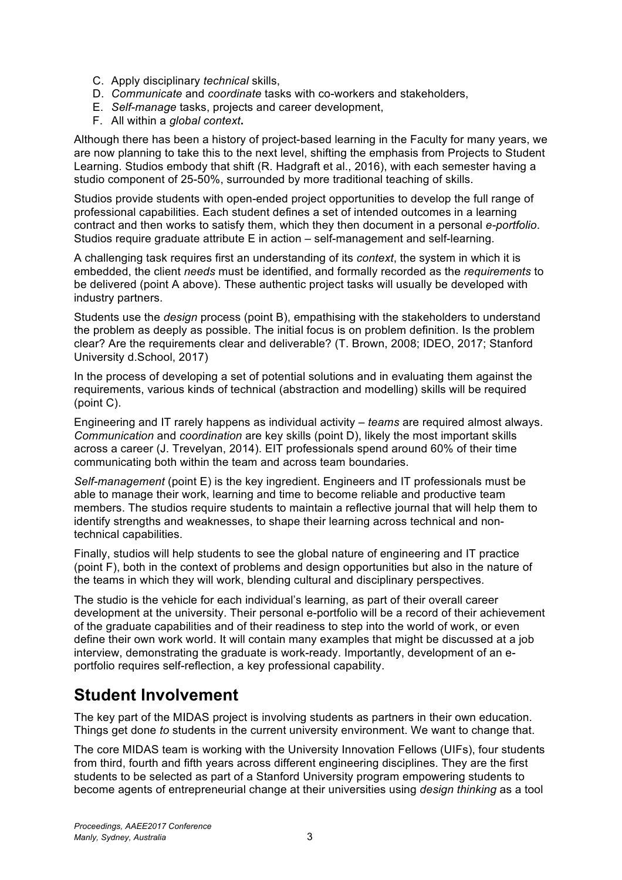- C. Apply disciplinary *technical* skills,
- D. *Communicate* and *coordinate* tasks with co-workers and stakeholders,
- E. *Self-manage* tasks, projects and career development,
- F. All within a *global context***.**

Although there has been a history of project-based learning in the Faculty for many years, we are now planning to take this to the next level, shifting the emphasis from Projects to Student Learning. Studios embody that shift (R. Hadgraft et al., 2016), with each semester having a studio component of 25-50%, surrounded by more traditional teaching of skills.

Studios provide students with open-ended project opportunities to develop the full range of professional capabilities. Each student defines a set of intended outcomes in a learning contract and then works to satisfy them, which they then document in a personal *e-portfolio*. Studios require graduate attribute E in action – self-management and self-learning.

A challenging task requires first an understanding of its *context*, the system in which it is embedded, the client *needs* must be identified, and formally recorded as the *requirements* to be delivered (point A above). These authentic project tasks will usually be developed with industry partners.

Students use the *design* process (point B), empathising with the stakeholders to understand the problem as deeply as possible. The initial focus is on problem definition. Is the problem clear? Are the requirements clear and deliverable? (T. Brown, 2008; IDEO, 2017; Stanford University d.School, 2017)

In the process of developing a set of potential solutions and in evaluating them against the requirements, various kinds of technical (abstraction and modelling) skills will be required (point C).

Engineering and IT rarely happens as individual activity – *teams* are required almost always. *Communication* and *coordination* are key skills (point D), likely the most important skills across a career (J. Trevelyan, 2014). EIT professionals spend around 60% of their time communicating both within the team and across team boundaries.

*Self-management* (point E) is the key ingredient. Engineers and IT professionals must be able to manage their work, learning and time to become reliable and productive team members. The studios require students to maintain a reflective journal that will help them to identify strengths and weaknesses, to shape their learning across technical and nontechnical capabilities.

Finally, studios will help students to see the global nature of engineering and IT practice (point F), both in the context of problems and design opportunities but also in the nature of the teams in which they will work, blending cultural and disciplinary perspectives.

The studio is the vehicle for each individual's learning, as part of their overall career development at the university. Their personal e-portfolio will be a record of their achievement of the graduate capabilities and of their readiness to step into the world of work, or even define their own work world. It will contain many examples that might be discussed at a job interview, demonstrating the graduate is work-ready. Importantly, development of an eportfolio requires self-reflection, a key professional capability.

## **Student Involvement**

The key part of the MIDAS project is involving students as partners in their own education. Things get done *to* students in the current university environment. We want to change that.

The core MIDAS team is working with the University Innovation Fellows (UIFs), four students from third, fourth and fifth years across different engineering disciplines. They are the first students to be selected as part of a Stanford University program empowering students to become agents of entrepreneurial change at their universities using *design thinking* as a tool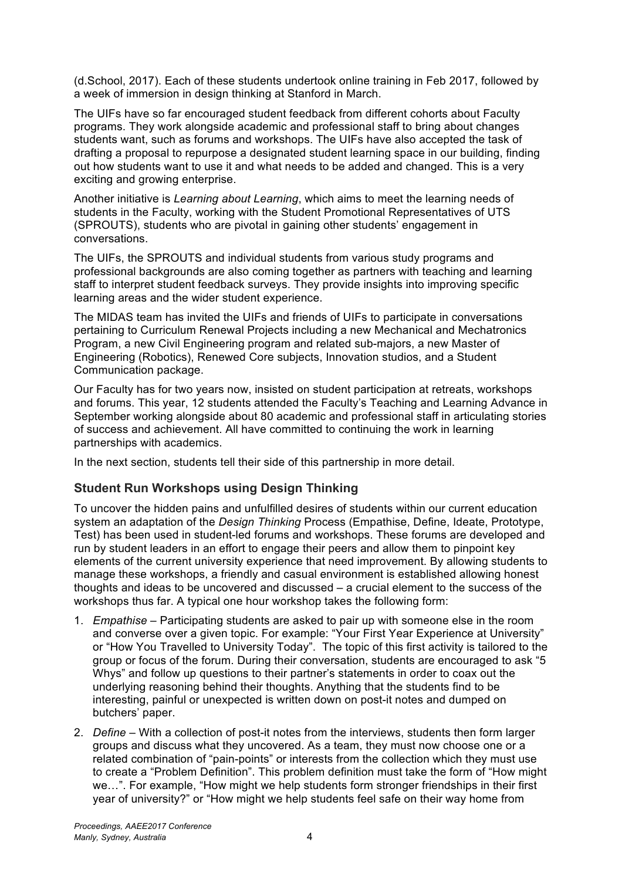(d.School, 2017). Each of these students undertook online training in Feb 2017, followed by a week of immersion in design thinking at Stanford in March.

The UIFs have so far encouraged student feedback from different cohorts about Faculty programs. They work alongside academic and professional staff to bring about changes students want, such as forums and workshops. The UIFs have also accepted the task of drafting a proposal to repurpose a designated student learning space in our building, finding out how students want to use it and what needs to be added and changed. This is a very exciting and growing enterprise.

Another initiative is *Learning about Learning*, which aims to meet the learning needs of students in the Faculty, working with the Student Promotional Representatives of UTS (SPROUTS), students who are pivotal in gaining other students' engagement in conversations.

The UIFs, the SPROUTS and individual students from various study programs and professional backgrounds are also coming together as partners with teaching and learning staff to interpret student feedback surveys. They provide insights into improving specific learning areas and the wider student experience.

The MIDAS team has invited the UIFs and friends of UIFs to participate in conversations pertaining to Curriculum Renewal Projects including a new Mechanical and Mechatronics Program, a new Civil Engineering program and related sub-majors, a new Master of Engineering (Robotics), Renewed Core subjects, Innovation studios, and a Student Communication package.

Our Faculty has for two years now, insisted on student participation at retreats, workshops and forums. This year, 12 students attended the Faculty's Teaching and Learning Advance in September working alongside about 80 academic and professional staff in articulating stories of success and achievement. All have committed to continuing the work in learning partnerships with academics.

In the next section, students tell their side of this partnership in more detail.

### **Student Run Workshops using Design Thinking**

To uncover the hidden pains and unfulfilled desires of students within our current education system an adaptation of the *Design Thinking* Process (Empathise, Define, Ideate, Prototype, Test) has been used in student-led forums and workshops. These forums are developed and run by student leaders in an effort to engage their peers and allow them to pinpoint key elements of the current university experience that need improvement. By allowing students to manage these workshops, a friendly and casual environment is established allowing honest thoughts and ideas to be uncovered and discussed – a crucial element to the success of the workshops thus far. A typical one hour workshop takes the following form:

- 1. *Empathise* Participating students are asked to pair up with someone else in the room and converse over a given topic. For example: "Your First Year Experience at University" or "How You Travelled to University Today". The topic of this first activity is tailored to the group or focus of the forum. During their conversation, students are encouraged to ask "5 Whys" and follow up questions to their partner's statements in order to coax out the underlying reasoning behind their thoughts. Anything that the students find to be interesting, painful or unexpected is written down on post-it notes and dumped on butchers' paper.
- 2. *Define* With a collection of post-it notes from the interviews, students then form larger groups and discuss what they uncovered. As a team, they must now choose one or a related combination of "pain-points" or interests from the collection which they must use to create a "Problem Definition". This problem definition must take the form of "How might we…". For example, "How might we help students form stronger friendships in their first year of university?" or "How might we help students feel safe on their way home from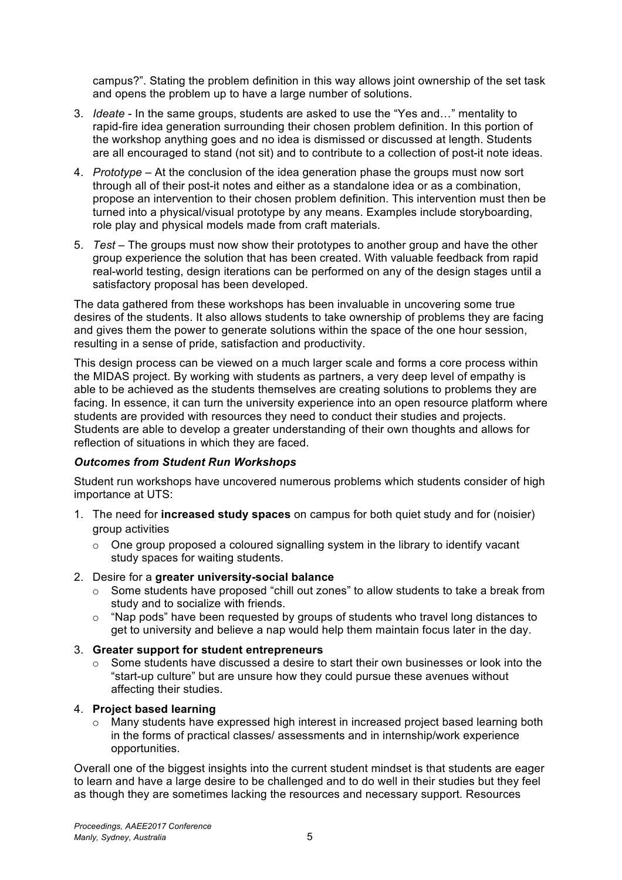campus?". Stating the problem definition in this way allows joint ownership of the set task and opens the problem up to have a large number of solutions.

- 3. *Ideate* In the same groups, students are asked to use the "Yes and…" mentality to rapid-fire idea generation surrounding their chosen problem definition. In this portion of the workshop anything goes and no idea is dismissed or discussed at length. Students are all encouraged to stand (not sit) and to contribute to a collection of post-it note ideas.
- 4. *Prototype* At the conclusion of the idea generation phase the groups must now sort through all of their post-it notes and either as a standalone idea or as a combination, propose an intervention to their chosen problem definition. This intervention must then be turned into a physical/visual prototype by any means. Examples include storyboarding, role play and physical models made from craft materials.
- 5. *Test* The groups must now show their prototypes to another group and have the other group experience the solution that has been created. With valuable feedback from rapid real-world testing, design iterations can be performed on any of the design stages until a satisfactory proposal has been developed.

The data gathered from these workshops has been invaluable in uncovering some true desires of the students. It also allows students to take ownership of problems they are facing and gives them the power to generate solutions within the space of the one hour session, resulting in a sense of pride, satisfaction and productivity.

This design process can be viewed on a much larger scale and forms a core process within the MIDAS project. By working with students as partners, a very deep level of empathy is able to be achieved as the students themselves are creating solutions to problems they are facing. In essence, it can turn the university experience into an open resource platform where students are provided with resources they need to conduct their studies and projects. Students are able to develop a greater understanding of their own thoughts and allows for reflection of situations in which they are faced.

#### *Outcomes from Student Run Workshops*

Student run workshops have uncovered numerous problems which students consider of high importance at UTS:

- 1. The need for **increased study spaces** on campus for both quiet study and for (noisier) group activities
	- o One group proposed a coloured signalling system in the library to identify vacant study spaces for waiting students.
- 2. Desire for a **greater university-social balance**
	- o Some students have proposed "chill out zones" to allow students to take a break from study and to socialize with friends.
	- o "Nap pods" have been requested by groups of students who travel long distances to get to university and believe a nap would help them maintain focus later in the day.
- 3. **Greater support for student entrepreneurs**
	- o Some students have discussed a desire to start their own businesses or look into the "start-up culture" but are unsure how they could pursue these avenues without affecting their studies.

#### 4. **Project based learning**

 $\circ$  Many students have expressed high interest in increased project based learning both in the forms of practical classes/ assessments and in internship/work experience opportunities.

Overall one of the biggest insights into the current student mindset is that students are eager to learn and have a large desire to be challenged and to do well in their studies but they feel as though they are sometimes lacking the resources and necessary support. Resources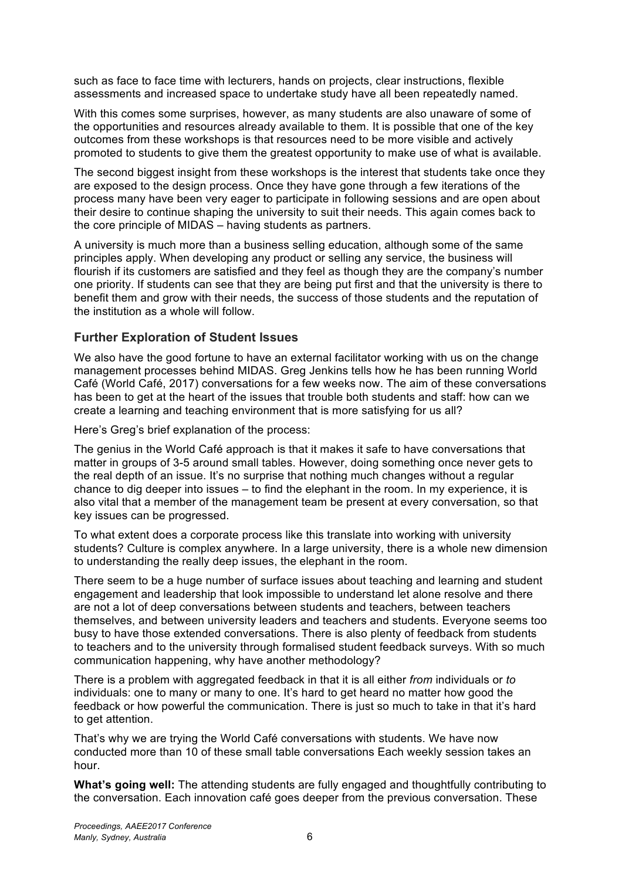such as face to face time with lecturers, hands on projects, clear instructions, flexible assessments and increased space to undertake study have all been repeatedly named.

With this comes some surprises, however, as many students are also unaware of some of the opportunities and resources already available to them. It is possible that one of the key outcomes from these workshops is that resources need to be more visible and actively promoted to students to give them the greatest opportunity to make use of what is available.

The second biggest insight from these workshops is the interest that students take once they are exposed to the design process. Once they have gone through a few iterations of the process many have been very eager to participate in following sessions and are open about their desire to continue shaping the university to suit their needs. This again comes back to the core principle of MIDAS – having students as partners.

A university is much more than a business selling education, although some of the same principles apply. When developing any product or selling any service, the business will flourish if its customers are satisfied and they feel as though they are the company's number one priority. If students can see that they are being put first and that the university is there to benefit them and grow with their needs, the success of those students and the reputation of the institution as a whole will follow.

### **Further Exploration of Student Issues**

We also have the good fortune to have an external facilitator working with us on the change management processes behind MIDAS. Greg Jenkins tells how he has been running World Café (World Café, 2017) conversations for a few weeks now. The aim of these conversations has been to get at the heart of the issues that trouble both students and staff: how can we create a learning and teaching environment that is more satisfying for us all?

Here's Greg's brief explanation of the process:

The genius in the World Café approach is that it makes it safe to have conversations that matter in groups of 3-5 around small tables. However, doing something once never gets to the real depth of an issue. It's no surprise that nothing much changes without a regular chance to dig deeper into issues – to find the elephant in the room. In my experience, it is also vital that a member of the management team be present at every conversation, so that key issues can be progressed.

To what extent does a corporate process like this translate into working with university students? Culture is complex anywhere. In a large university, there is a whole new dimension to understanding the really deep issues, the elephant in the room.

There seem to be a huge number of surface issues about teaching and learning and student engagement and leadership that look impossible to understand let alone resolve and there are not a lot of deep conversations between students and teachers, between teachers themselves, and between university leaders and teachers and students. Everyone seems too busy to have those extended conversations. There is also plenty of feedback from students to teachers and to the university through formalised student feedback surveys. With so much communication happening, why have another methodology?

There is a problem with aggregated feedback in that it is all either *from* individuals or *to* individuals: one to many or many to one. It's hard to get heard no matter how good the feedback or how powerful the communication. There is just so much to take in that it's hard to get attention.

That's why we are trying the World Café conversations with students. We have now conducted more than 10 of these small table conversations Each weekly session takes an hour.

**What's going well:** The attending students are fully engaged and thoughtfully contributing to the conversation. Each innovation café goes deeper from the previous conversation. These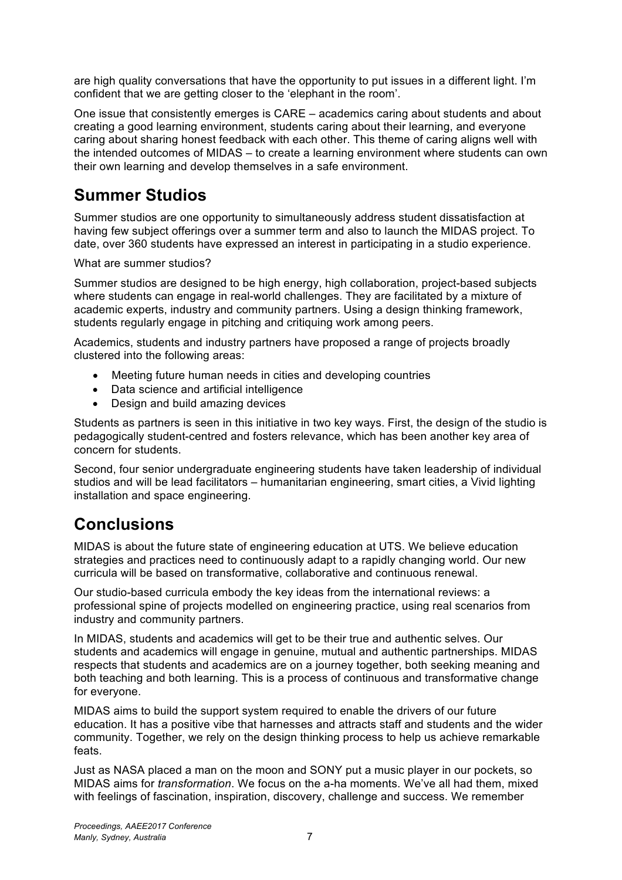are high quality conversations that have the opportunity to put issues in a different light. I'm confident that we are getting closer to the 'elephant in the room'.

One issue that consistently emerges is CARE – academics caring about students and about creating a good learning environment, students caring about their learning, and everyone caring about sharing honest feedback with each other. This theme of caring aligns well with the intended outcomes of MIDAS – to create a learning environment where students can own their own learning and develop themselves in a safe environment.

## **Summer Studios**

Summer studios are one opportunity to simultaneously address student dissatisfaction at having few subject offerings over a summer term and also to launch the MIDAS project. To date, over 360 students have expressed an interest in participating in a studio experience.

What are summer studios?

Summer studios are designed to be high energy, high collaboration, project-based subjects where students can engage in real-world challenges. They are facilitated by a mixture of academic experts, industry and community partners. Using a design thinking framework, students regularly engage in pitching and critiquing work among peers.

Academics, students and industry partners have proposed a range of projects broadly clustered into the following areas:

- Meeting future human needs in cities and developing countries
- Data science and artificial intelligence
- Design and build amazing devices

Students as partners is seen in this initiative in two key ways. First, the design of the studio is pedagogically student-centred and fosters relevance, which has been another key area of concern for students.

Second, four senior undergraduate engineering students have taken leadership of individual studios and will be lead facilitators – humanitarian engineering, smart cities, a Vivid lighting installation and space engineering.

### **Conclusions**

MIDAS is about the future state of engineering education at UTS. We believe education strategies and practices need to continuously adapt to a rapidly changing world. Our new curricula will be based on transformative, collaborative and continuous renewal.

Our studio-based curricula embody the key ideas from the international reviews: a professional spine of projects modelled on engineering practice, using real scenarios from industry and community partners.

In MIDAS, students and academics will get to be their true and authentic selves. Our students and academics will engage in genuine, mutual and authentic partnerships. MIDAS respects that students and academics are on a journey together, both seeking meaning and both teaching and both learning. This is a process of continuous and transformative change for everyone.

MIDAS aims to build the support system required to enable the drivers of our future education. It has a positive vibe that harnesses and attracts staff and students and the wider community. Together, we rely on the design thinking process to help us achieve remarkable feats.

Just as NASA placed a man on the moon and SONY put a music player in our pockets, so MIDAS aims for *transformation*. We focus on the a-ha moments. We've all had them, mixed with feelings of fascination, inspiration, discovery, challenge and success. We remember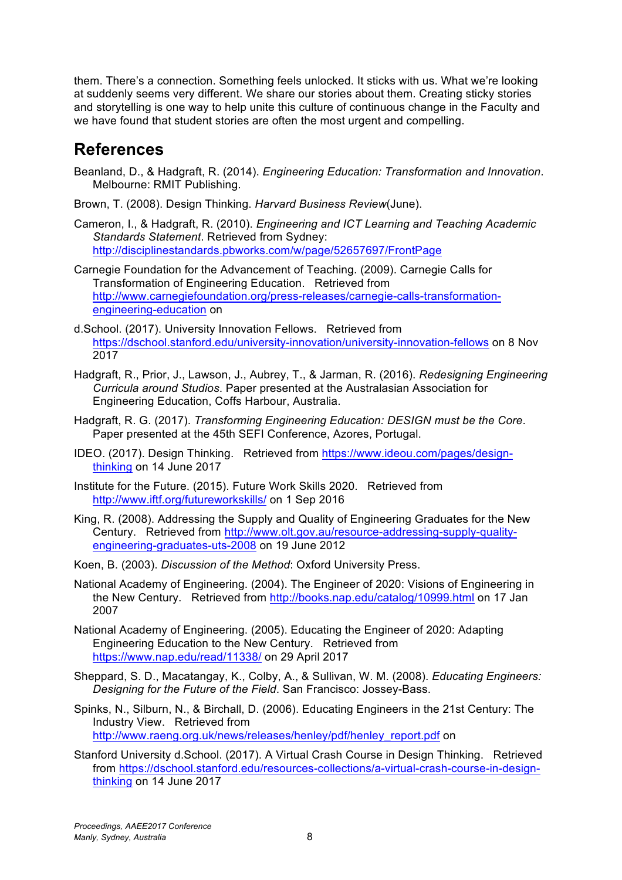them. There's a connection. Something feels unlocked. It sticks with us. What we're looking at suddenly seems very different. We share our stories about them. Creating sticky stories and storytelling is one way to help unite this culture of continuous change in the Faculty and we have found that student stories are often the most urgent and compelling.

### **References**

- Beanland, D., & Hadgraft, R. (2014). *Engineering Education: Transformation and Innovation*. Melbourne: RMIT Publishing.
- Brown, T. (2008). Design Thinking. *Harvard Business Review*(June).
- Cameron, I., & Hadgraft, R. (2010). *Engineering and ICT Learning and Teaching Academic Standards Statement*. Retrieved from Sydney: http://disciplinestandards.pbworks.com/w/page/52657697/FrontPage

Carnegie Foundation for the Advancement of Teaching. (2009). Carnegie Calls for Transformation of Engineering Education. Retrieved from http://www.carnegiefoundation.org/press-releases/carnegie-calls-transformationengineering-education on

- d.School. (2017). University Innovation Fellows. Retrieved from https://dschool.stanford.edu/university-innovation/university-innovation-fellows on 8 Nov 2017
- Hadgraft, R., Prior, J., Lawson, J., Aubrey, T., & Jarman, R. (2016). *Redesigning Engineering Curricula around Studios*. Paper presented at the Australasian Association for Engineering Education, Coffs Harbour, Australia.
- Hadgraft, R. G. (2017). *Transforming Engineering Education: DESIGN must be the Core*. Paper presented at the 45th SEFI Conference, Azores, Portugal.
- IDEO. (2017). Design Thinking. Retrieved from https://www.ideou.com/pages/designthinking on 14 June 2017
- Institute for the Future. (2015). Future Work Skills 2020. Retrieved from http://www.iftf.org/futureworkskills/ on 1 Sep 2016
- King, R. (2008). Addressing the Supply and Quality of Engineering Graduates for the New Century. Retrieved from http://www.olt.gov.au/resource-addressing-supply-qualityengineering-graduates-uts-2008 on 19 June 2012
- Koen, B. (2003). *Discussion of the Method*: Oxford University Press.
- National Academy of Engineering. (2004). The Engineer of 2020: Visions of Engineering in the New Century. Retrieved from http://books.nap.edu/catalog/10999.html on 17 Jan 2007
- National Academy of Engineering. (2005). Educating the Engineer of 2020: Adapting Engineering Education to the New Century. Retrieved from https://www.nap.edu/read/11338/ on 29 April 2017
- Sheppard, S. D., Macatangay, K., Colby, A., & Sullivan, W. M. (2008). *Educating Engineers: Designing for the Future of the Field*. San Francisco: Jossey-Bass.
- Spinks, N., Silburn, N., & Birchall, D. (2006). Educating Engineers in the 21st Century: The Industry View. Retrieved from http://www.raeng.org.uk/news/releases/henley/pdf/henley\_report.pdf on
- Stanford University d.School. (2017). A Virtual Crash Course in Design Thinking. Retrieved from https://dschool.stanford.edu/resources-collections/a-virtual-crash-course-in-designthinking on 14 June 2017